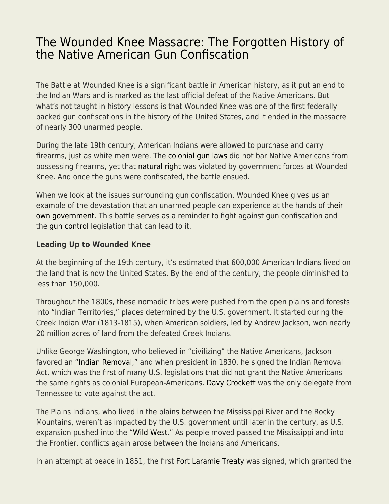# [The Wounded Knee Massacre: The Forgotten History of](https://everything-voluntary.com/the-wounded-knee-massacre-the-forgotten-history-of-the-native-american-gun-confiscation) [the Native American Gun Confiscation](https://everything-voluntary.com/the-wounded-knee-massacre-the-forgotten-history-of-the-native-american-gun-confiscation)

The Battle at Wounded Knee is a significant battle in American history, as it put an end to the Indian Wars and is marked as the last official defeat of the Native Americans. But what's not taught in history lessons is that Wounded Knee was one of the first federally backed gun confiscations in the history of the United States, and it ended in the massacre of nearly 300 unarmed people.

During the late 19th century, American Indians were allowed to purchase and carry firearms, just as white men were. The [colonial gun laws](https://ammo.com/articles/gun-control-guide-major-federal-acts#colonialregulations) did not bar Native Americans from possessing firearms, yet that [natural right](https://ammo.com/articles/us-constitution-interactive#am2) was violated by government forces at Wounded Knee. And once the guns were confiscated, the battle ensued.

When we look at the issues surrounding gun confiscation, Wounded Knee gives us an example of the devastation that an unarmed people can experience at the hands of [their](https://ammo.com/articles/democide-hitler-stalin-mao-state-violence-guide) [own government](https://ammo.com/articles/democide-hitler-stalin-mao-state-violence-guide). This battle serves as a reminder to fight against gun confiscation and the [gun control](https://ammo.com/articles/gun-control-guide-major-state-acts) legislation that can lead to it.

## **Leading Up to Wounded Knee**

At the beginning of the 19th century, it's estimated that 600,000 American Indians lived on the land that is now the United States. By the end of the century, the people diminished to less than 150,000.

Throughout the 1800s, these nomadic tribes were pushed from the open plains and forests into "Indian Territories," places determined by the U.S. government. It started during the Creek Indian War (1813-1815), when American soldiers, led by Andrew Jackson, won nearly 20 million acres of land from the defeated Creek Indians.

Unlike George Washington, who believed in "civilizing" the Native Americans, Jackson favored an "[Indian Removal,](https://www.history.com/topics/native-american-history/trail-of-tears)" and when president in 1830, he signed the Indian Removal Act, which was the first of many U.S. legislations that did not grant the Native Americans the same rights as colonial European-Americans. [Davy Crockett](https://ammo.com/articles/davy-crockett-forgotten-history-king-of-the-wild-frontier-alamo) was the only delegate from Tennessee to vote against the act.

The Plains Indians, who lived in the plains between the Mississippi River and the Rocky Mountains, weren't as impacted by the U.S. government until later in the century, as U.S. expansion pushed into the ["Wild West.](https://ammo.com/articles/american-old-west-hollywood-wild-west-money-gun-control)" As people moved passed the Mississippi and into the Frontier, conflicts again arose between the Indians and Americans.

In an attempt at peace in 1851, the first [Fort Laramie Treaty](https://www.ndstudies.gov/gr8/content/unit-iii-waves-development-1861-1920/lesson-4-alliances-and-conflicts/topic-2-sitting-bulls-people/section-3-treaties-fort-laramie-1851-1868) was signed, which granted the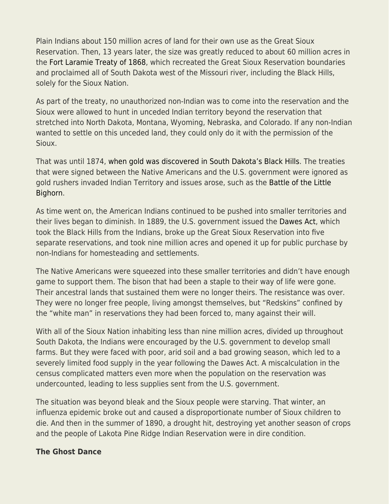Plain Indians about 150 million acres of land for their own use as the Great Sioux Reservation. Then, 13 years later, the size was greatly reduced to about 60 million acres in the [Fort Laramie Treaty of 1868,](https://www.archives.gov/education/lessons/sioux-treaty) which recreated the Great Sioux Reservation boundaries and proclaimed all of South Dakota west of the Missouri river, including the Black Hills, solely for the Sioux Nation.

As part of the treaty, no unauthorized non-Indian was to come into the reservation and the Sioux were allowed to hunt in unceded Indian territory beyond the reservation that stretched into North Dakota, Montana, Wyoming, Nebraska, and Colorado. If any non-Indian wanted to settle on this unceded land, they could only do it with the permission of the Sioux.

That was until 1874, [when gold was discovered in South Dakota's Black Hills](https://www.kellycodetectors.com/pages/the-black-hills-gold-rush/). The treaties that were signed between the Native Americans and the U.S. government were ignored as gold rushers invaded Indian Territory and issues arose, such as the [Battle of the Little](https://en.wikipedia.org/wiki/Battle_of_the_Little_Bighorn) [Bighorn.](https://en.wikipedia.org/wiki/Battle_of_the_Little_Bighorn)

As time went on, the American Indians continued to be pushed into smaller territories and their lives began to diminish. In 1889, the U.S. government issued the [Dawes Act](https://constitution.laws.com/dawes-act), which took the Black Hills from the Indians, broke up the Great Sioux Reservation into five separate reservations, and took nine million acres and opened it up for public purchase by non-Indians for homesteading and settlements.

The Native Americans were squeezed into these smaller territories and didn't have enough game to support them. The bison that had been a staple to their way of life were gone. Their ancestral lands that sustained them were no longer theirs. The resistance was over. They were no longer free people, living amongst themselves, but "Redskins" confined by the "white man" in reservations they had been forced to, many against their will.

With all of the Sioux Nation inhabiting less than nine million acres, divided up throughout South Dakota, the Indians were encouraged by the U.S. government to develop small farms. But they were faced with poor, arid soil and a bad growing season, which led to a severely limited food supply in the year following the Dawes Act. A miscalculation in the census complicated matters even more when the population on the reservation was undercounted, leading to less supplies sent from the U.S. government.

The situation was beyond bleak and the Sioux people were starving. That winter, an influenza epidemic broke out and caused a disproportionate number of Sioux children to die. And then in the summer of 1890, a drought hit, destroying yet another season of crops and the people of Lakota Pine Ridge Indian Reservation were in dire condition.

#### **The Ghost Dance**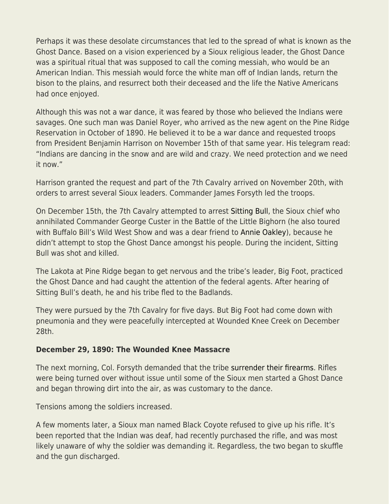Perhaps it was these desolate circumstances that led to the spread of what is known as the Ghost Dance. Based on a vision experienced by a Sioux religious leader, the Ghost Dance was a spiritual ritual that was supposed to call the coming messiah, who would be an American Indian. This messiah would force the white man off of Indian lands, return the bison to the plains, and resurrect both their deceased and the life the Native Americans had once enjoyed.

Although this was not a war dance, it was feared by those who believed the Indians were savages. One such man was Daniel Royer, who arrived as the new agent on the Pine Ridge Reservation in October of 1890. He believed it to be a war dance and requested troops from President Benjamin Harrison on November 15th of that same year. His telegram read: "Indians are dancing in the snow and are wild and crazy. We need protection and we need it now."

Harrison granted the request and part of the 7th Cavalry arrived on November 20th, with orders to arrest several Sioux leaders. Commander James Forsyth led the troops.

On December 15th, the 7th Cavalry attempted to arrest [Sitting Bull](https://www.history.com/topics/native-american-history/sitting-bull), the Sioux chief who annihilated Commander George Custer in the Battle of the Little Bighorn (he also toured with Buffalo Bill's Wild West Show and was a dear friend to [Annie Oakley](https://ammo.com/articles/annie-oakley-forgotten-history-most-iconic-woman-sharpshooter)), because he didn't attempt to stop the Ghost Dance amongst his people. During the incident, Sitting Bull was shot and killed.

The Lakota at Pine Ridge began to get nervous and the tribe's leader, Big Foot, practiced the Ghost Dance and had caught the attention of the federal agents. After hearing of Sitting Bull's death, he and his tribe fled to the Badlands.

They were pursued by the 7th Cavalry for five days. But Big Foot had come down with pneumonia and they were peacefully intercepted at Wounded Knee Creek on December 28th.

### **December 29, 1890: The Wounded Knee Massacre**

The next morning, Col. Forsyth demanded that the tribe [surrender their firearms.](https://ammo.com/articles/gun-grabbers-quotes) Rifles were being turned over without issue until some of the Sioux men started a Ghost Dance and began throwing dirt into the air, as was customary to the dance.

Tensions among the soldiers increased.

A few moments later, a Sioux man named Black Coyote refused to give up his rifle. It's been reported that the Indian was deaf, had recently purchased the rifle, and was most likely unaware of why the soldier was demanding it. Regardless, the two began to skuffle and the gun discharged.